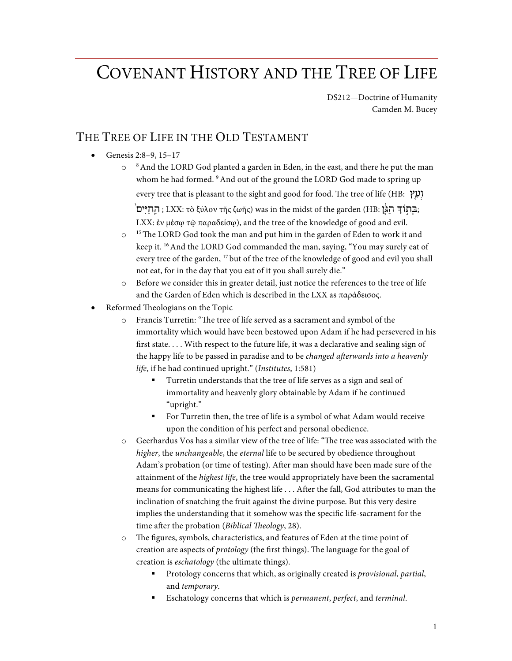# COVENANT HISTORY AND THE TREE OF LIFE

DS212—Doctrine of Humanity Camden M. Bucey

### THE TREE OF LIFE IN THE OLD TESTAMENT

- Genesis 2:8–9, 15–17
	- $\circ$   $\circ$  8 And the LORD God planted a garden in Eden, in the east, and there he put the man whom he had formed. <sup>9</sup> And out of the ground the LORD God made to spring up every tree that is pleasant to the sight and good for food. The tree of life (HB: וְעֵץ

'בְּתְוֹדְ ּיִהֲגָּיָם, LXX: τὸ ξύλον τῆς ζωῆς) was in the midst of the garden (HB: בְּתְוֹדְ ּיִם, LXX: ἐν μέσω τῷ παραδείσω), and the tree of the knowledge of good and evil.

- o <sup>15</sup> The LORD God took the man and put him in the garden of Eden to work it and keep it. <sup>16</sup> And the LORD God commanded the man, saying, "You may surely eat of every tree of the garden, <sup>17</sup> but of the tree of the knowledge of good and evil you shall not eat, for in the day that you eat of it you shall surely die."
- o Before we consider this in greater detail, just notice the references to the tree of life and the Garden of Eden which is described in the LXX as παράδεισος.
- Reformed Theologians on the Topic
	- o Francis Turretin: "The tree of life served as a sacrament and symbol of the immortality which would have been bestowed upon Adam if he had persevered in his first state. . . . With respect to the future life, it was a declarative and sealing sign of the happy life to be passed in paradise and to be *changed afterwards into a heavenly life*, if he had continued upright." (*Institutes*, 1:581)
		- § Turretin understands that the tree of life serves as a sign and seal of immortality and heavenly glory obtainable by Adam if he continued "upright."
		- For Turretin then, the tree of life is a symbol of what Adam would receive upon the condition of his perfect and personal obedience.
	- o Geerhardus Vos has a similar view of the tree of life: "The tree was associated with the *higher*, the *unchangeable*, the *eternal* life to be secured by obedience throughout Adam's probation (or time of testing). After man should have been made sure of the attainment of the *highest life*, the tree would appropriately have been the sacramental means for communicating the highest life . . . After the fall, God attributes to man the inclination of snatching the fruit against the divine purpose. But this very desire implies the understanding that it somehow was the specific life-sacrament for the time after the probation (*Biblical Theology*, 28).
	- o The figures, symbols, characteristics, and features of Eden at the time point of creation are aspects of *protology* (the first things). The language for the goal of creation is *eschatology* (the ultimate things).
		- § Protology concerns that which, as originally created is *provisional*, *partial*, and *temporary*.
		- § Eschatology concerns that which is *permanent*, *perfect*, and *terminal*.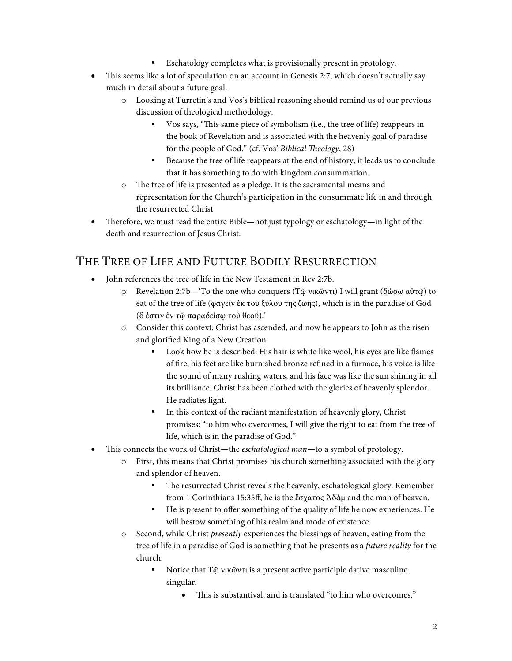- Eschatology completes what is provisionally present in protology.
- This seems like a lot of speculation on an account in Genesis 2:7, which doesn't actually say much in detail about a future goal.
	- o Looking at Turretin's and Vos's biblical reasoning should remind us of our previous discussion of theological methodology.
		- § Vos says, "This same piece of symbolism (i.e., the tree of life) reappears in the book of Revelation and is associated with the heavenly goal of paradise for the people of God." (cf. Vos' *Biblical Theology*, 28)
		- Because the tree of life reappears at the end of history, it leads us to conclude that it has something to do with kingdom consummation.
	- o The tree of life is presented as a pledge. It is the sacramental means and representation for the Church's participation in the consummate life in and through the resurrected Christ
- Therefore, we must read the entire Bible—not just typology or eschatology—in light of the death and resurrection of Jesus Christ.

## THE TREE OF LIFE AND FUTURE BODILY RESURRECTION

- John references the tree of life in the New Testament in Rev 2:7b.
	- o Revelation 2:7b—'To the one who conquers (Τῷ νικῶντι) I will grant (δώσω αὐτῷ) to eat of the tree of life (φαγεῖν ἐκ τοῦ ξύλου τῆς ζωῆς), which is in the paradise of God (ὅ ἐστιν ἐν τῷ παραδείσῳ τοῦ θεοῦ).'
	- o Consider this context: Christ has ascended, and now he appears to John as the risen and glorified King of a New Creation.
		- Look how he is described: His hair is white like wool, his eyes are like flames of fire, his feet are like burnished bronze refined in a furnace, his voice is like the sound of many rushing waters, and his face was like the sun shining in all its brilliance. Christ has been clothed with the glories of heavenly splendor. He radiates light.
		- § In this context of the radiant manifestation of heavenly glory, Christ promises: "to him who overcomes, I will give the right to eat from the tree of life, which is in the paradise of God."
- This connects the work of Christ—the *eschatological man*—to a symbol of protology.
	- o First, this means that Christ promises his church something associated with the glory and splendor of heaven.
		- The resurrected Christ reveals the heavenly, eschatological glory. Remember from 1 Corinthians 15:35ff, he is the ἔσχατος Ἀδὰμ and the man of heaven.
		- § He is present to offer something of the quality of life he now experiences. He will bestow something of his realm and mode of existence.
	- o Second, while Christ *presently* experiences the blessings of heaven, eating from the tree of life in a paradise of God is something that he presents as a *future reality* for the church.
		- Notice that T $\tilde{\omega}$  νικῶντι is a present active participle dative masculine singular.
			- This is substantival, and is translated "to him who overcomes."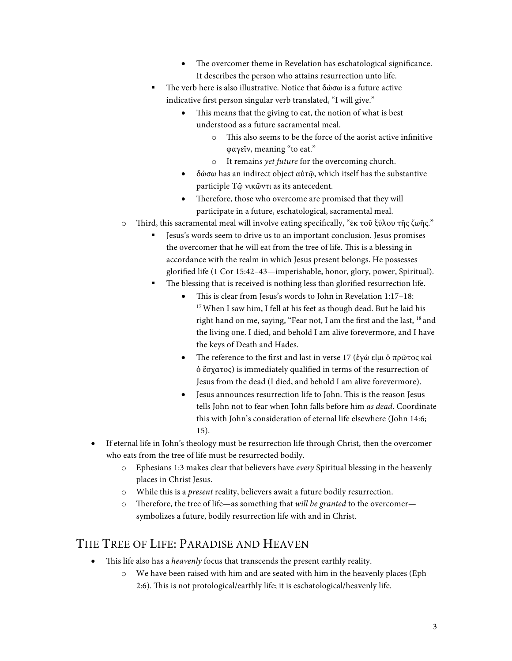- The overcomer theme in Revelation has eschatological significance. It describes the person who attains resurrection unto life.
- The verb here is also illustrative. Notice that  $\delta\omega\sigma\omega$  is a future active indicative first person singular verb translated, "I will give."
	- This means that the giving to eat, the notion of what is best understood as a future sacramental meal.
		- o This also seems to be the force of the aorist active infinitive φαγεῖν, meaning "to eat."
		- o It remains *yet future* for the overcoming church.
	- δώσω has an indirect object αὐτῷ, which itself has the substantive participle Τῷ νικῶντι as its antecedent.
	- Therefore, those who overcome are promised that they will participate in a future, eschatological, sacramental meal.
- o Third, this sacramental meal will involve eating specifically, "ἐκ τοῦ ξύλου τῆς ζωῆς."
	- § Jesus's words seem to drive us to an important conclusion. Jesus promises the overcomer that he will eat from the tree of life. This is a blessing in accordance with the realm in which Jesus present belongs. He possesses glorified life (1 Cor 15:42–43—imperishable, honor, glory, power, Spiritual).
	- The blessing that is received is nothing less than glorified resurrection life.
		- This is clear from Jesus's words to John in Revelation 1:17–18: <sup>17</sup> When I saw him, I fell at his feet as though dead. But he laid his right hand on me, saying, "Fear not, I am the first and the last, 18 and the living one. I died, and behold I am alive forevermore, and I have the keys of Death and Hades.
		- The reference to the first and last in verse 17 (ἐγώ εἰμι ὁ πρῶτος καὶ ὁ ἔσχατος) is immediately qualified in terms of the resurrection of Jesus from the dead (I died, and behold I am alive forevermore).
		- Jesus announces resurrection life to John. This is the reason Jesus tells John not to fear when John falls before him *as dead*. Coordinate this with John's consideration of eternal life elsewhere (John 14:6; 15).
- If eternal life in John's theology must be resurrection life through Christ, then the overcomer who eats from the tree of life must be resurrected bodily.
	- o Ephesians 1:3 makes clear that believers have *every* Spiritual blessing in the heavenly places in Christ Jesus.
	- o While this is a *present* reality, believers await a future bodily resurrection.
	- Therefore, the tree of life—as something that *will be granted* to the overcomer symbolizes a future, bodily resurrection life with and in Christ.

#### THE TREE OF LIFE: PARADISE AND HEAVEN

- This life also has a *heavenly* focus that transcends the present earthly reality.
	- o We have been raised with him and are seated with him in the heavenly places (Eph 2:6). This is not protological/earthly life; it is eschatological/heavenly life.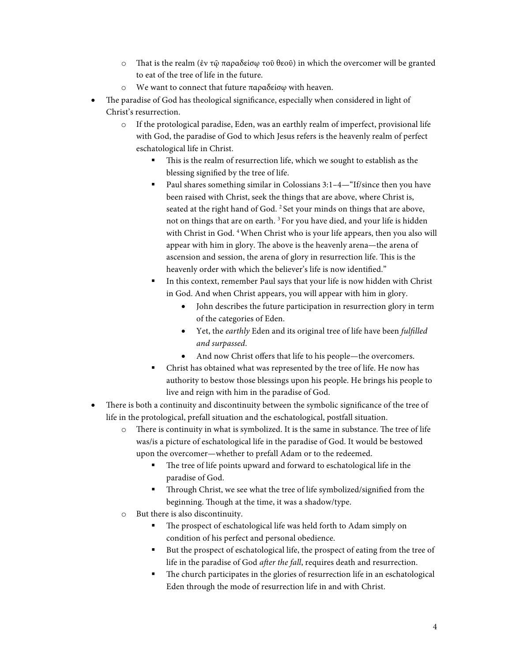- o That is the realm (ἐν τῷ παραδείσῳ τοῦ θεοῦ) in which the overcomer will be granted to eat of the tree of life in the future.
- o We want to connect that future παραδείσῳ with heaven.
- The paradise of God has theological significance, especially when considered in light of Christ's resurrection.
	- o If the protological paradise, Eden, was an earthly realm of imperfect, provisional life with God, the paradise of God to which Jesus refers is the heavenly realm of perfect eschatological life in Christ.
		- This is the realm of resurrection life, which we sought to establish as the blessing signified by the tree of life.
		- Paul shares something similar in Colossians 3:1–4—"If/since then you have been raised with Christ, seek the things that are above, where Christ is, seated at the right hand of God. <sup>2</sup> Set your minds on things that are above, not on things that are on earth.<sup>3</sup> For you have died, and your life is hidden with Christ in God. <sup>4</sup> When Christ who is your life appears, then you also will appear with him in glory. The above is the heavenly arena—the arena of ascension and session, the arena of glory in resurrection life. This is the heavenly order with which the believer's life is now identified."
		- In this context, remember Paul says that your life is now hidden with Christ in God. And when Christ appears, you will appear with him in glory.
			- John describes the future participation in resurrection glory in term of the categories of Eden.
			- Yet, the *earthly* Eden and its original tree of life have been *fulfilled and surpassed*.
			- And now Christ offers that life to his people—the overcomers.
		- Christ has obtained what was represented by the tree of life. He now has authority to bestow those blessings upon his people. He brings his people to live and reign with him in the paradise of God.
- There is both a continuity and discontinuity between the symbolic significance of the tree of life in the protological, prefall situation and the eschatological, postfall situation.
	- o There is continuity in what is symbolized. It is the same in substance. The tree of life was/is a picture of eschatological life in the paradise of God. It would be bestowed upon the overcomer—whether to prefall Adam or to the redeemed.
		- The tree of life points upward and forward to eschatological life in the paradise of God.
		- Through Christ, we see what the tree of life symbolized/signified from the beginning. Though at the time, it was a shadow/type.
	- o But there is also discontinuity.
		- The prospect of eschatological life was held forth to Adam simply on condition of his perfect and personal obedience.
		- But the prospect of eschatological life, the prospect of eating from the tree of life in the paradise of God *after the fall*, requires death and resurrection.
		- The church participates in the glories of resurrection life in an eschatological Eden through the mode of resurrection life in and with Christ.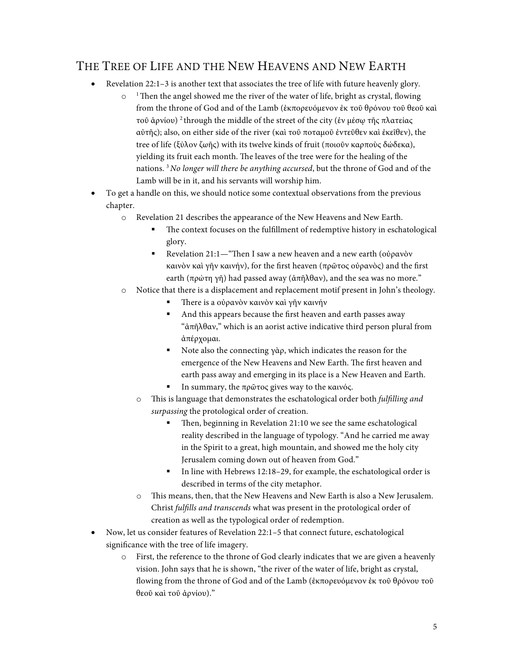## THE TREE OF LIFE AND THE NEW HEAVENS AND NEW EARTH

- Revelation 22:1–3 is another text that associates the tree of life with future heavenly glory.
	- $\circ$ <sup>1</sup> Then the angel showed me the river of the water of life, bright as crystal, flowing from the throne of God and of the Lamb (ἐκπορευόμενον ἐκ τοῦ θρόνου τοῦ θεοῦ καὶ τοῦ ἀρνίου) <sup>2</sup> through the middle of the street of the city (ἐν μέσῳ τῆς πλατείας αὐτῆς); also, on either side of the river (καὶ τοῦ ποταμοῦ ἐντεῦθεν καὶ ἐκεῖθεν), the tree of life (ξύλον ζωῆς) with its twelve kinds of fruit (ποιοῦν καρποὺς δώδεκα), yielding its fruit each month. The leaves of the tree were for the healing of the nations. 3 *No longer will there be anything accursed*, but the throne of God and of the Lamb will be in it, and his servants will worship him.
- To get a handle on this, we should notice some contextual observations from the previous chapter.
	- o Revelation 21 describes the appearance of the New Heavens and New Earth.
		- The context focuses on the fulfillment of redemptive history in eschatological glory.
		- Revelation 21:1— "Then I saw a new heaven and a new earth (οὐρανὸν καινὸν καὶ γῆν καινήν), for the first heaven (πρῶτος οὐρανὸς) and the first earth (πρώτη γῆ) had passed away (ἀπῆλθαν), and the sea was no more."
	- o Notice that there is a displacement and replacement motif present in John's theology.
		- There is a οὐρανὸν καινὸν καὶ γῆν καινήν
		- And this appears because the first heaven and earth passes away "ἀπῆλθαν," which is an aorist active indicative third person plural from ἀπέρχομαι.
		- Note also the connecting γὰρ, which indicates the reason for the emergence of the New Heavens and New Earth. The first heaven and earth pass away and emerging in its place is a New Heaven and Earth.
		- In summary, the πρῶτος gives way to the καινός.
		- o This is language that demonstrates the eschatological order both *fulfilling and surpassing* the protological order of creation.
			- Then, beginning in Revelation 21:10 we see the same eschatological reality described in the language of typology. "And he carried me away in the Spirit to a great, high mountain, and showed me the holy city Jerusalem coming down out of heaven from God."
			- In line with Hebrews 12:18-29, for example, the eschatological order is described in terms of the city metaphor.
		- This means, then, that the New Heavens and New Earth is also a New Jerusalem. Christ *fulfills and transcends* what was present in the protological order of creation as well as the typological order of redemption.
- Now, let us consider features of Revelation 22:1–5 that connect future, eschatological significance with the tree of life imagery.
	- o First, the reference to the throne of God clearly indicates that we are given a heavenly vision. John says that he is shown, "the river of the water of life, bright as crystal, flowing from the throne of God and of the Lamb (ἐκπορευόμενον ἐκ τοῦ θρόνου τοῦ θεοῦ καὶ τοῦ ἀρνίου)."